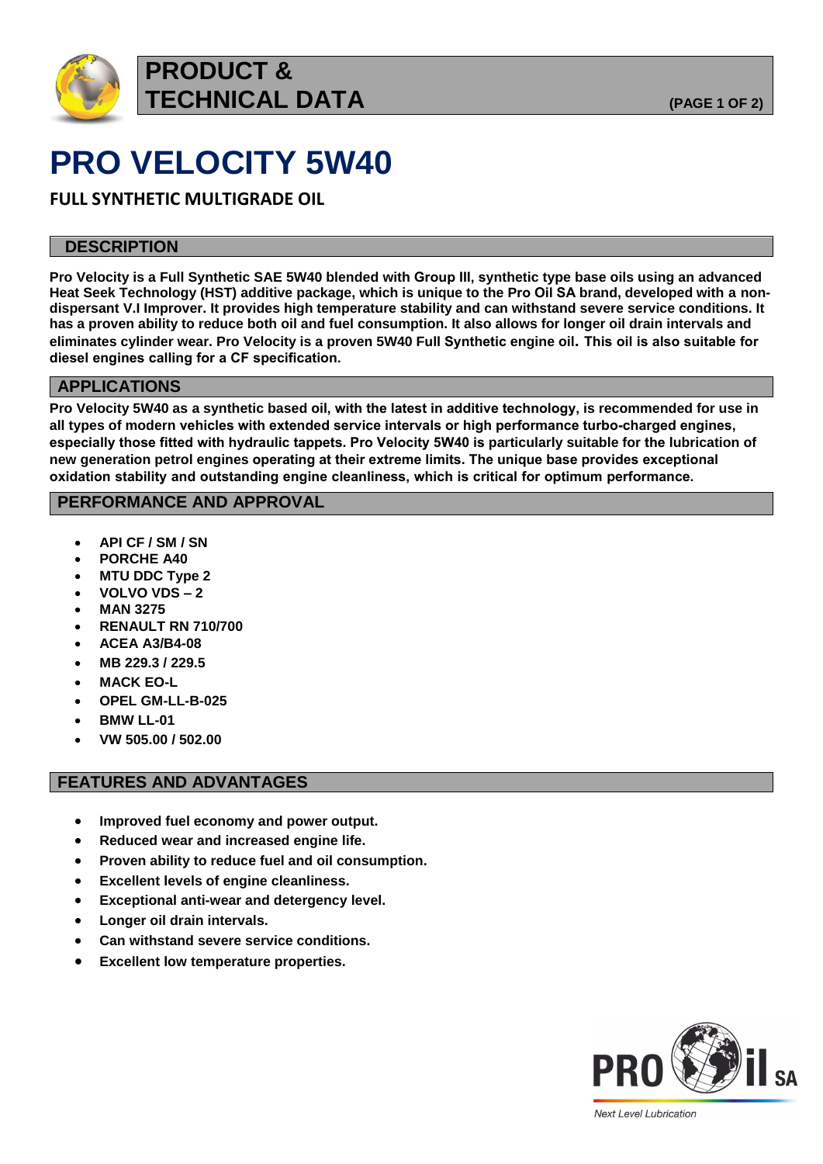

## **PRODUCT & TECHNICAL DATA (PAGE 1 OF 2)**

# **PRO VELOCITY 5W40**

**FULL SYNTHETIC MULTIGRADE OIL**

### **DESCRIPTION**

**Pro Velocity is a Full Synthetic SAE 5W40 blended with Group III, synthetic type base oils using an advanced Heat Seek Technology (HST) additive package, which is unique to the Pro Oil SA brand, developed with a nondispersant V.I Improver. It provides high temperature stability and can withstand severe service conditions. It has a proven ability to reduce both oil and fuel consumption. It also allows for longer oil drain intervals and eliminates cylinder wear. Pro Velocity is a proven 5W40 Full Synthetic engine oil. This oil is also suitable for diesel engines calling for a CF specification.**

### **APPLICATIONS**

**Pro Velocity 5W40 as a synthetic based oil, with the latest in additive technology, is recommended for use in all types of modern vehicles with extended service intervals or high performance turbo-charged engines, especially those fitted with hydraulic tappets. Pro Velocity 5W40 is particularly suitable for the lubrication of new generation petrol engines operating at their extreme limits. The unique base provides exceptional oxidation stability and outstanding engine cleanliness, which is critical for optimum performance.** 

### **PERFORMANCE AND APPROVAL**

- **API CF / SM / SN**
- **PORCHE A40**
- **MTU DDC Type 2**
- **VOLVO VDS – 2**
- **MAN 3275**
- **RENAULT RN 710/700**
- **ACEA A3/B4-08**
- **MB 229.3 / 229.5**
- **MACK EO-L**
- **OPEL GM-LL-B-025**
- **BMW LL-01**
- **VW 505.00 / 502.00**

### **FEATURES AND ADVANTAGES**

- **Improved fuel economy and power output.**
- **Reduced wear and increased engine life.**
- **Proven ability to reduce fuel and oil consumption.**
- **Excellent levels of engine cleanliness.**
- **Exceptional anti-wear and detergency level.**
- **Longer oil drain intervals.**
- **Can withstand severe service conditions.**
- **Excellent low temperature properties.**



**Next Level Lubrication**